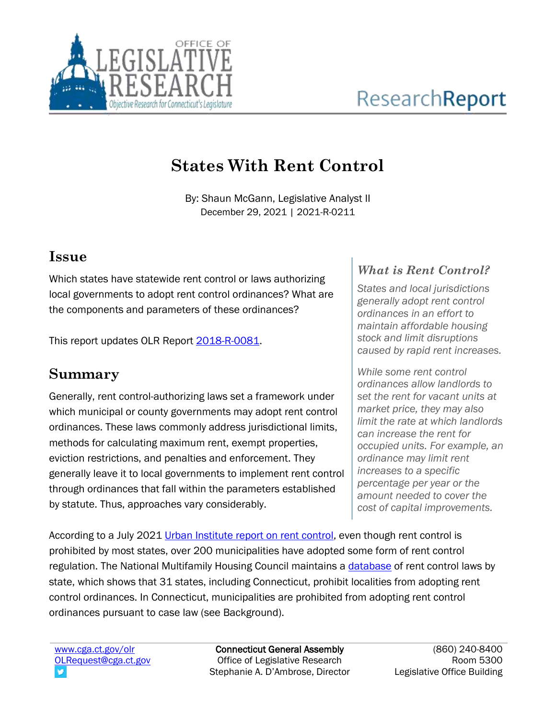

# **States With Rent Control**

By: Shaun McGann, Legislative Analyst II December 29, 2021 | 2021-R-0211

### **Issue**

Which states have statewide rent control or laws authorizing local governments to adopt rent control ordinances? What are the components and parameters of these ordinances?

This report updates OLR Report [2018-R-0081.](https://www.cga.ct.gov/2018/rpt/pdf/2018-R-0081.pdf)

### **Summary**

Generally, rent control-authorizing laws set a framework under which municipal or county governments may adopt rent control ordinances. These laws commonly address jurisdictional limits, methods for calculating maximum rent, exempt properties, eviction restrictions, and penalties and enforcement. They generally leave it to local governments to implement rent control through ordinances that fall within the parameters established by statute. Thus, approaches vary considerably.

### *What is Rent Control?*

*States and local jurisdictions generally adopt rent control ordinances in an effort to maintain affordable housing stock and limit disruptions caused by rapid rent increases.* 

*While some rent control ordinances allow landlords to set the rent for vacant units at market price, they may also limit the rate at which landlords can increase the rent for occupied units. For example, an ordinance may limit rent increases to a specific percentage per year or the amount needed to cover the cost of capital improvements.*

According to a July 2021 [Urban Institute report](https://www.urban.org/research/publication/rent-control-key-policy-components-and-their-equity-implications) on rent control, even though rent control is prohibited by most states, over 200 municipalities have adopted some form of rent control regulation. The National Multifamily Housing Council maintains a [database](https://www.nmhc.org/globalassets/advocacy/rent-control/rent-control-by-state-law-chart-2021.pdf) of rent control laws by state, which shows that 31 states, including Connecticut, prohibit localities from adopting rent control ordinances. In Connecticut, municipalities are prohibited from adopting rent control ordinances pursuant to case law (see Background).

[www.cga.ct.gov/olr](http://www.cga.ct.gov/olr) [OLRequest@cga.ct.gov](mailto:OLRequest@cga.ct.gov)

Connecticut General Assembly Office of Legislative Research Stephanie A. D'Ambrose, Director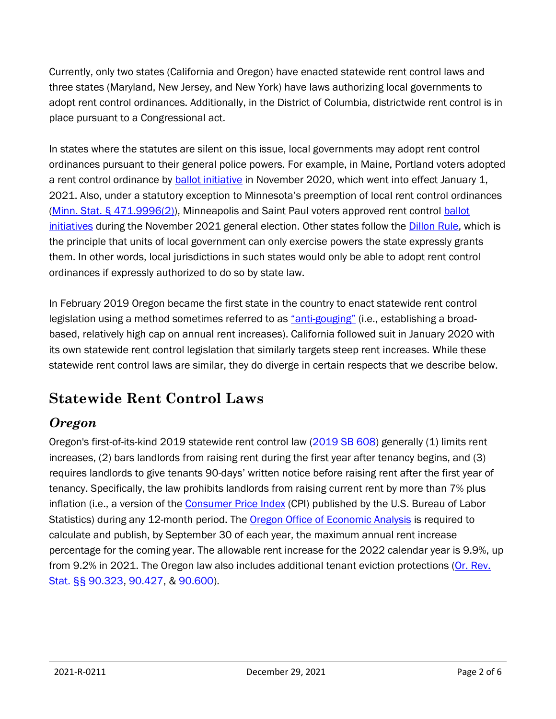Currently, only two states (California and Oregon) have enacted statewide rent control laws and three states (Maryland, New Jersey, and New York) have laws authorizing local governments to adopt rent control ordinances. Additionally, in the District of Columbia, districtwide rent control is in place pursuant to a Congressional act.

In states where the statutes are silent on this issue, local governments may adopt rent control ordinances pursuant to their general police powers. For example, in Maine, Portland voters adopted a rent control ordinance by **ballot initiative** in November 2020, which went into effect January 1, 2021. Also, under a statutory exception to Minnesota's preemption of local rent control ordinances [\(Minn. Stat. § 471.9996\(2\)\)](https://www.revisor.mn.gov/statutes/cite/471.9996), Minneapolis and Saint Paul voters approved rent control [ballot](https://www.nolo.com/legal-updates/rent-control-in-minnesota-minneapolis-and-saint-paul.html)  [initiatives](https://www.nolo.com/legal-updates/rent-control-in-minnesota-minneapolis-and-saint-paul.html) during the November 2021 general election. Other states follow the [Dillon Rule,](https://nebraskalegislature.gov/pdf/reports/research/snapshot_localgov_2020.pdf) which is the principle that units of local government can only exercise powers the state expressly grants them. In other words, local jurisdictions in such states would only be able to adopt rent control ordinances if expressly authorized to do so by state law.

In February 2019 Oregon became the first state in the country to enact statewide rent control legislation using a method sometimes referred to as "[anti-gouging](https://furmancenter.org/files/Rent_Regulation_for_the_21st_Century.pdf)" (i.e., establishing a broadbased, relatively high cap on annual rent increases). California followed suit in January 2020 with its own statewide rent control legislation that similarly targets steep rent increases. While these statewide rent control laws are similar, they do diverge in certain respects that we describe below.

## **Statewide Rent Control Laws**

### *Oregon*

Oregon's first-of-its-kind 2019 statewide rent control law [\(2019 SB 608\)](https://olis.oregonlegislature.gov/liz/2019R1/Measures/Overview/SB608) generally (1) limits rent increases, (2) bars landlords from raising rent during the first year after tenancy begins, and (3) requires landlords to give tenants 90-days' written notice before raising rent after the first year of tenancy. Specifically, the law prohibits landlords from raising current rent by more than 7% plus inflation (i.e., a version of the [Consumer Price Index](https://www.bls.gov/cpi/) (CPI) published by the U.S. Bureau of Labor Statistics) during any 12-month period. The [Oregon Office of Economic Analysis](https://www.oregon.gov/das/OEA/Pages/Rent-stabilization.aspx) is required to calculate and publish, by September 30 of each year, the maximum annual rent increase percentage for the coming year. The allowable rent increase for the 2022 calendar year is 9.9%, up from 9.2% in 2021. The Oregon law also includes additional tenant eviction protections [\(Or. Rev.](https://oregon.public.law/statutes/ors_90.323)  [Stat. §§ 90.323,](https://oregon.public.law/statutes/ors_90.323) [90.427,](https://oregon.public.law/statutes/ors_90.427) & [90.600\)](https://oregon.public.law/statutes/ors_90.600).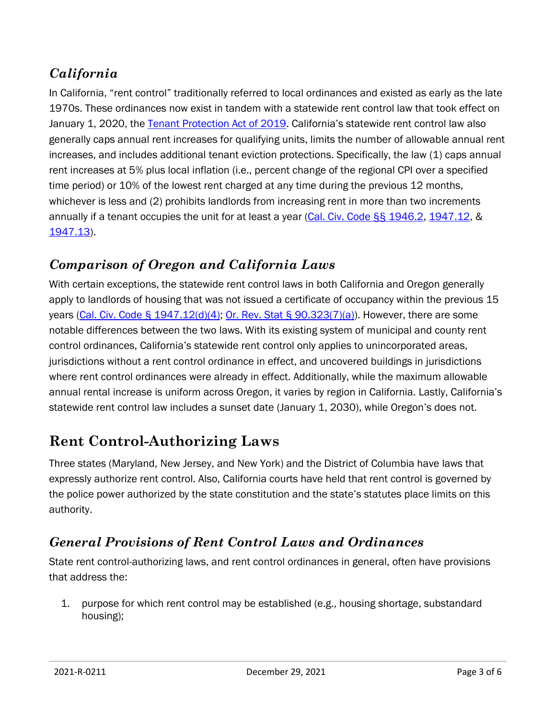### *California*

In California, "rent control" traditionally referred to local ordinances and existed as early as the late 1970s. These ordinances now exist in tandem with a statewide rent control law that took effect on January 1, 2020, the [Tenant Protection Act of 2019.](https://leginfo.legislature.ca.gov/faces/billTextClient.xhtml?bill_id=201920200AB1482) California's statewide rent control law also generally caps annual rent increases for qualifying units, limits the number of allowable annual rent increases, and includes additional tenant eviction protections. Specifically, the law (1) caps annual rent increases at 5% plus local inflation (i.e., percent change of the regional CPI over a specified time period) or 10% of the lowest rent charged at any time during the previous 12 months, whichever is less and (2) prohibits landlords from increasing rent in more than two increments annually if a tenant occupies the unit for at least a year [\(Cal. Civ. Code §§ 1946.2,](https://leginfo.legislature.ca.gov/faces/codes_displaySection.xhtml?sectionNum=1946.2.&lawCode=CIV) [1947.12,](https://leginfo.legislature.ca.gov/faces/codes_displaySection.xhtml?sectionNum=1947.12.&lawCode=CIV) & [1947.13\)](https://leginfo.legislature.ca.gov/faces/codes_displaySection.xhtml?sectionNum=1947.13&lawCode=CIV).

### *Comparison of Oregon and California Laws*

With certain exceptions, the statewide rent control laws in both California and Oregon generally apply to landlords of housing that was not issued a certificate of occupancy within the previous 15 years [\(Cal. Civ. Code § 1947.12\(d\)\(4\);](https://leginfo.legislature.ca.gov/faces/codes_displaySection.xhtml?sectionNum=1947.12.&lawCode=CIV) [Or. Rev. Stat § 90.323\(7\)\(a\)\)](https://oregon.public.law/statutes/ors_90.323). However, there are some notable differences between the two laws. With its existing system of municipal and county rent control ordinances, California's statewide rent control only applies to unincorporated areas, jurisdictions without a rent control ordinance in effect, and uncovered buildings in jurisdictions where rent control ordinances were already in effect. Additionally, while the maximum allowable annual rental increase is uniform across Oregon, it varies by region in California. Lastly, California's statewide rent control law includes a sunset date (January 1, 2030), while Oregon's does not.

### **Rent Control-Authorizing Laws**

Three states (Maryland, New Jersey, and New York) and the District of Columbia have laws that expressly authorize rent control. Also, California courts have held that rent control is governed by the police power authorized by the state constitution and the state's statutes place limits on this authority.

### *General Provisions of Rent Control Laws and Ordinances*

State rent control-authorizing laws, and rent control ordinances in general, often have provisions that address the:

1. purpose for which rent control may be established (e.g., housing shortage, substandard housing);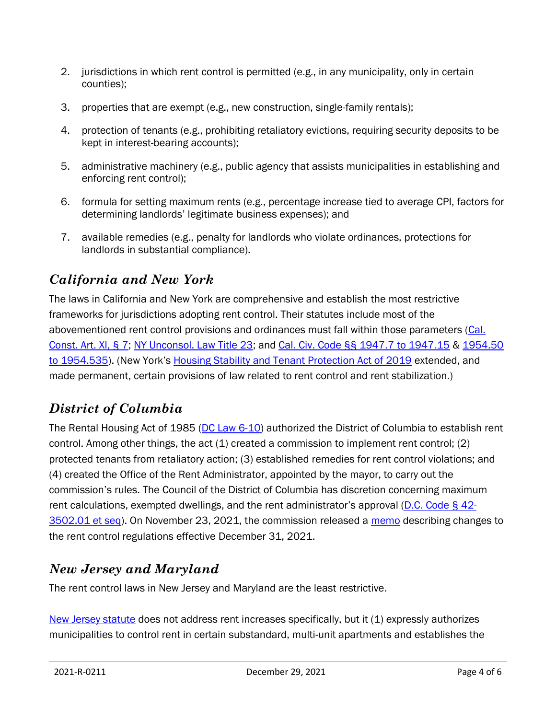- 2. jurisdictions in which rent control is permitted (e.g., in any municipality, only in certain counties);
- 3. properties that are exempt (e.g., new construction, single-family rentals);
- 4. protection of tenants (e.g., prohibiting retaliatory evictions, requiring security deposits to be kept in interest-bearing accounts);
- 5. administrative machinery (e.g., public agency that assists municipalities in establishing and enforcing rent control);
- 6. formula for setting maximum rents (e.g., percentage increase tied to average CPI, factors for determining landlords' legitimate business expenses); and
- 7. available remedies (e.g., penalty for landlords who violate ordinances, protections for landlords in substantial compliance).

### *California and New York*

The laws in California and New York are comprehensive and establish the most restrictive frameworks for jurisdictions adopting rent control. Their statutes include most of the abovementioned rent control provisions and ordinances must fall within those parameters (Cal. [Const. Art. XI, § 7;](http://leginfo.legislature.ca.gov/faces/codes_displaySection.xhtml?sectionNum=SEC.+7.&lawCode=CONS&article=XI) [NY Unconsol. Law Title 23;](https://www.nysenate.gov/legislation/laws/UNCONSOLIDATED) and [Cal. Civ. Code §§ 1947.7 to 1947.15](https://leginfo.legislature.ca.gov/faces/codes_displaySection.xhtml?sectionNum=1947.7.&lawCode=CIV) & [1954.50](https://leginfo.legislature.ca.gov/faces/codes_displaySection.xhtml?sectionNum=1954.50.&lawCode=CIV)  [to 1954.535\)](https://leginfo.legislature.ca.gov/faces/codes_displaySection.xhtml?sectionNum=1954.50.&lawCode=CIV). (New York's [Housing Stability and Tenant Protection Act of 2019](https://www.nysenate.gov/legislation/bills/2019/s6458) extended, and made permanent, certain provisions of law related to rent control and rent stabilization.)

### *District of Columbia*

The Rental Housing Act of 1985 [\(DC Law 6-10\)](https://dhcd.dc.gov/service/rent-control) authorized the District of Columbia to establish rent control. Among other things, the act (1) created a commission to implement rent control; (2) protected tenants from retaliatory action; (3) established remedies for rent control violations; and (4) created the Office of the Rent Administrator, appointed by the mayor, to carry out the commission's rules. The Council of the District of Columbia has discretion concerning maximum rent calculations, exempted dwellings, and the rent administrator's approval [\(D.C. Code § 42-](https://code.dccouncil.us/us/dc/council/code/titles/42/chapters/35/subchapters/II) [3502.01 et seq\)](https://code.dccouncil.us/us/dc/council/code/titles/42/chapters/35/subchapters/II). On November 23, 2021, the commission released a [memo](https://rhc.dc.gov/sites/default/files/dc/sites/rhc/publication/attachments/RHC%20GC%20Memo%2021-1-rulemaking%20updates.pdf) describing changes to the rent control regulations effective December 31, 2021.

### *New Jersey and Maryland*

The rent control laws in New Jersey and Maryland are the least restrictive.

[New Jersey statute](https://www.nj.gov/dca/divisions/codes/publications/pdf_lti/rnt_incrse_bultin.pdf) does not address rent increases specifically, but it (1) expressly authorizes municipalities to control rent in certain substandard, multi-unit apartments and establishes the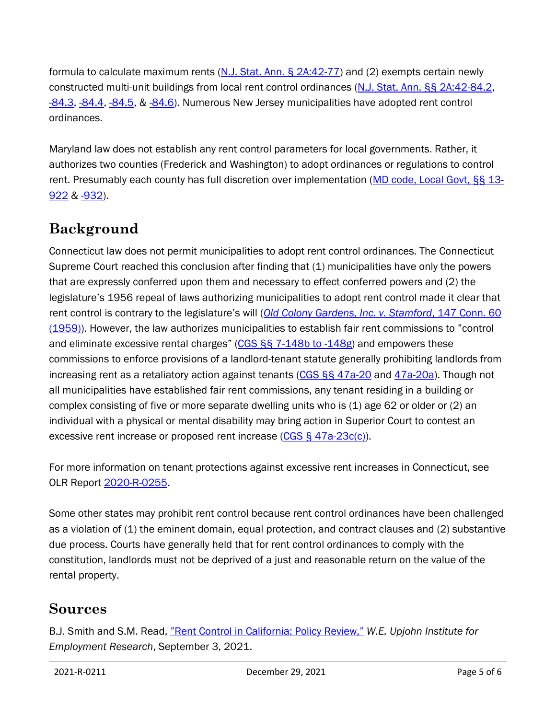formula to calculate maximum rents  $(N.1. Stat. Ann. §  $2A:42-77$ )$  and (2) exempts certain newly constructed multi-unit buildings from local rent control ordinances [\(N.J. Stat. Ann. §§ 2A:42-84.2,](https://njlaw.rutgers.edu/collections/njstats/showsect.php?title=2a&chapter=42§ion=84.2&actn=getsect) [-84.3,](https://njlaw.rutgers.edu/collections/njstats/showsect.php?title=2a&chapter=42§ion=84.3&actn=getsect) [-84.4,](https://njlaw.rutgers.edu/collections/njstats/showsect.php?title=2a&chapter=42§ion=84.4&actn=getsect) [-84.5,](https://njlaw.rutgers.edu/collections/njstats/showsect.php?title=2a&chapter=42§ion=84.5&actn=getsect) & [-84.6\)](https://njlaw.rutgers.edu/collections/njstats/showsect.php?title=2a&chapter=42§ion=84.6&actn=getsect). Numerous New Jersey municipalities have adopted rent control ordinances.

Maryland law does not establish any rent control parameters for local governments. Rather, it authorizes two counties (Frederick and Washington) to adopt ordinances or regulations to control rent. Presumably each county has full discretion over implementation [\(MD code, Local Govt, §§ 13-](https://mgaleg.maryland.gov/mgawebsite/laws/StatuteText?article=glg§ion=13-922&enactments=false) [922](https://mgaleg.maryland.gov/mgawebsite/laws/StatuteText?article=glg§ion=13-922&enactments=false) & [-932\)](https://mgaleg.maryland.gov/mgawebsite/laws/StatuteText?article=glg§ion=13-923&enactments=false).

### **Background**

Connecticut law does not permit municipalities to adopt rent control ordinances. The Connecticut Supreme Court reached this conclusion after finding that (1) municipalities have only the powers that are expressly conferred upon them and necessary to effect conferred powers and (2) the legislature's 1956 repeal of laws authorizing municipalities to adopt rent control made it clear that rent control is contrary to the legislature's will (*[Old Colony Gardens, Inc. v. Stamford](https://www.courtlistener.com/opinion/2369000/old-colony-gardens-inc-v-stamford/)*, 147 Conn. 60 [\(1959\)\)](https://www.courtlistener.com/opinion/2369000/old-colony-gardens-inc-v-stamford/). However, the law authorizes municipalities to establish fair rent commissions to "control and eliminate excessive rental charges" [\(CGS §§ 7-148b to -148g\)](https://www.cga.ct.gov/current/pub/chap_098.htm#sec_7-148b) and empowers these commissions to enforce provisions of a landlord-tenant statute generally prohibiting landlords from increasing rent as a retaliatory action against tenants [\(CGS §§ 47a-20](https://www.cga.ct.gov/current/pub/chap_830.htm#sec_47a-20) and [47a-20a\)](https://www.cga.ct.gov/current/pub/chap_830.htm#sec_47a-20a). Though not all municipalities have established fair rent commissions, any tenant residing in a building or complex consisting of five or more separate dwelling units who is (1) age 62 or older or (2) an individual with a physical or mental disability may bring action in Superior Court to contest an excessive rent increase or proposed rent increase [\(CGS § 47a-23c\(c\)\)](https://www.cga.ct.gov/current/pub/chap_832.htm#sec_47a-23c).

For more information on tenant protections against excessive rent increases in Connecticut, see OLR Report [2020-R-0255.](https://www.cga.ct.gov/2020/rpt/pdf/2020-R-0255.pdf)

Some other states may prohibit rent control because rent control ordinances have been challenged as a violation of (1) the eminent domain, equal protection, and contract clauses and (2) substantive due process. Courts have generally held that for rent control ordinances to comply with the constitution, landlords must not be deprived of a just and reasonable return on the value of the rental property.

### **Sources**

B.J. Smith and S.M. Read, "[Rent Control in California: Policy Review,](https://research.upjohn.org/cgi/viewcontent.cgi?article=1272&context=reports)" *W.E. Upjohn Institute for Employment Research*, September 3, 2021.